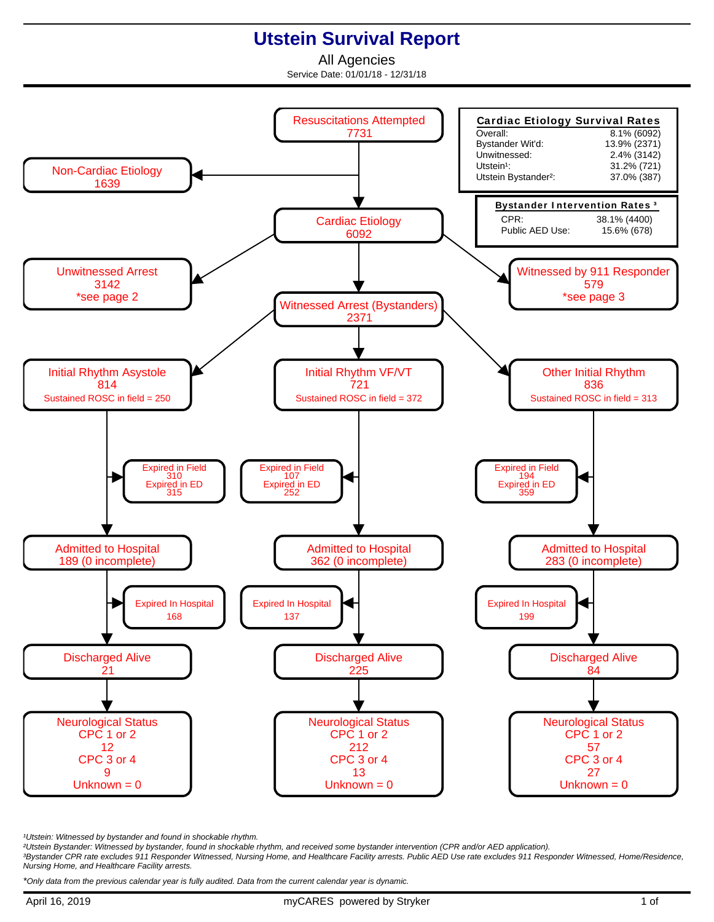## **Utstein Survival Report**

All Agencies Service Date: 01/01/18 - 12/31/18



<sup>1</sup>Utstein: Witnessed by bystander and found in shockable rhythm.

²Utstein Bystander: Witnessed by bystander, found in shockable rhythm, and received some bystander intervention (CPR and/or AED application).

³Bystander CPR rate excludes 911 Responder Witnessed, Nursing Home, and Healthcare Facility arrests. Public AED Use rate excludes 911 Responder Witnessed, Home/Residence, Nursing Home, and Healthcare Facility arrests.

\*Only data from the previous calendar year is fully audited. Data from the current calendar year is dynamic.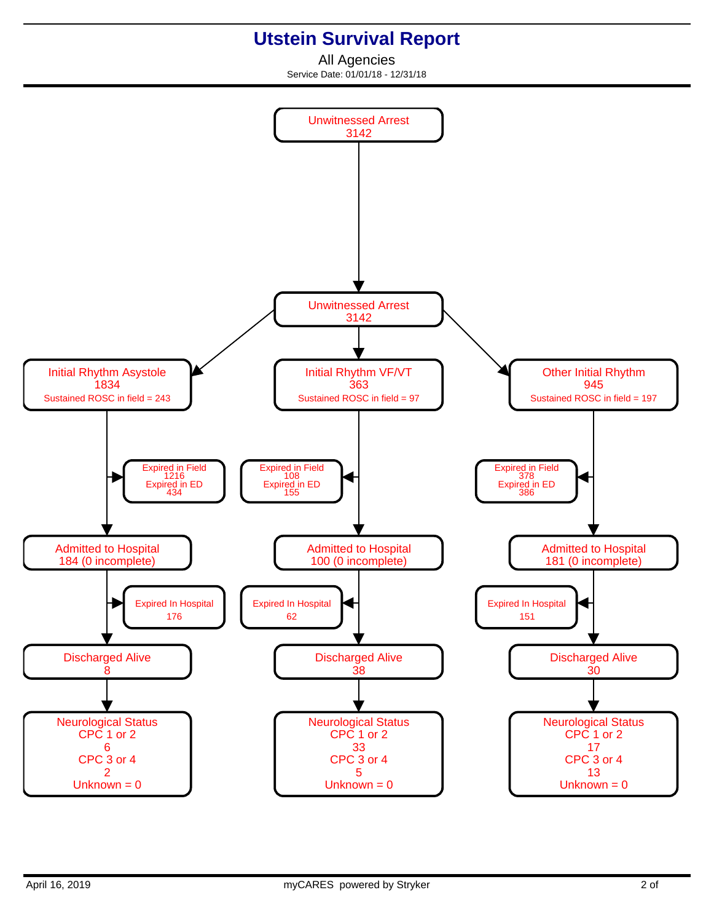## **Utstein Survival Report**

All Agencies Service Date: 01/01/18 - 12/31/18